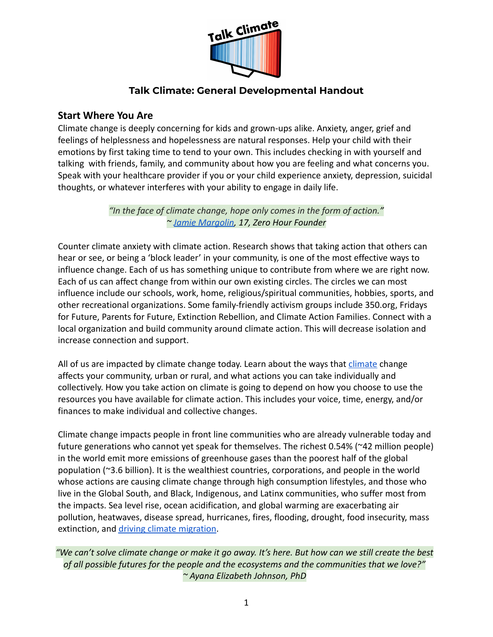

### **Talk Climate: General Developmental Handout**

### **Start Where You Are**

Climate change is deeply concerning for kids and grown-ups alike. Anxiety, anger, grief and feelings of helplessness and hopelessness are natural responses. Help your child with their emotions by first taking time to tend to your own. This includes checking in with yourself and talking with friends, family, and community about how you are feeling and what concerns you. Speak with your healthcare provider if you or your child experience anxiety, depression, suicidal thoughts, or whatever interferes with your ability to engage in daily life.

> *"In the face of climate change, hope only comes in the form of action." ~ [Jamie Margolin,](https://www.internationalcongressofyouthvoices.com/jamie-margolin) 17, Zero Hour Founder*

Counter climate anxiety with climate action. Research shows that taking action that others can hear or see, or being a 'block leader' in your community, is one of the most effective ways to influence change. Each of us has something unique to contribute from where we are right now. Each of us can affect change from within our own existing circles. The circles we can most influence include our schools, work, home, religious/spiritual communities, hobbies, sports, and other recreational organizations. Some family-friendly activism groups include 350.org, Fridays for Future, Parents for Future, Extinction Rebellion, and Climate Action Families. Connect with a local organization and build community around climate action. This will decrease isolation and increase connection and support.

All of us are impacted by [climate](https://www.climate.gov/) change today. Learn about the ways that *climate* change affects your community, urban or rural, and what actions you can take individually and collectively. How you take action on climate is going to depend on how you choose to use the resources you have available for climate action. This includes your voice, time, energy, and/or finances to make individual and collective changes.

Climate change impacts people in front line communities who are already vulnerable today and future generations who cannot yet speak for themselves. The richest 0.54% (~42 million people) in the world emit more emissions of greenhouse gases than the poorest half of the global population (~3.6 billion). It is the wealthiest countries, corporations, and people in the world whose actions are causing climate change through high consumption lifestyles, and those who live in the Global South, and Black, Indigenous, and Latinx communities, who suffer most from the impacts. Sea level rise, ocean acidification, and global warming are exacerbating air pollution, heatwaves, disease spread, hurricanes, fires, flooding, drought, food insecurity, mass extinction, and [driving climate migration.](https://www.nytimes.com/interactive/2020/07/23/magazine/climate-migration.html)

*"We can't solve climate change or make it go away. It's here. But how can we still create the best of all possible futures for the people and the ecosystems and the communities that we love?" ~ Ayana Elizabeth Johnson, PhD*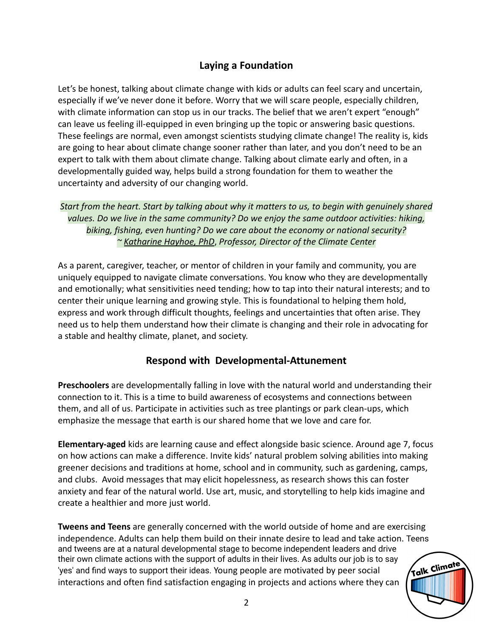# **Laying a Foundation**

Let's be honest, talking about climate change with kids or adults can feel scary and uncertain, especially if we've never done it before. Worry that we will scare people, especially children, with climate information can stop us in our tracks. The belief that we aren't expert "enough" can leave us feeling ill-equipped in even bringing up the topic or answering basic questions. These feelings are normal, even amongst scientists studying climate change! The reality is, kids are going to hear about climate change sooner rather than later, and you don't need to be an expert to talk with them about climate change. Talking about climate early and often, in a developmentally guided way, helps build a strong foundation for them to weather the uncertainty and adversity of our changing world.

*Start from the heart. Start by talking about why it matters to us, to begin with genuinely shared values. Do we live in the same community? Do we enjoy the same outdoor activities: hiking, biking, fishing, even hunting? Do we care about the economy or national security? ~ [Katharine Hayhoe, PhD](http://www.katharinehayhoe.com/wp2016/)*, *Professor, Director of the Climate Center*

As a parent, caregiver, teacher, or mentor of children in your family and community, you are uniquely equipped to navigate climate conversations. You know who they are developmentally and emotionally; what sensitivities need tending; how to tap into their natural interests; and to center their unique learning and growing style. This is foundational to helping them hold, express and work through difficult thoughts, feelings and uncertainties that often arise. They need us to help them understand how their climate is changing and their role in advocating for a stable and healthy climate, planet, and society.

#### **Respond with Developmental-Attunement**

**Preschoolers** are developmentally falling in love with the natural world and understanding their connection to it. This is a time to build awareness of ecosystems and connections between them, and all of us. Participate in activities such as tree plantings or park clean-ups, which emphasize the message that earth is our shared home that we love and care for.

**Elementary-aged** kids are learning cause and effect alongside basic science. Around age 7, focus on how actions can make a difference. Invite kids' natural problem solving abilities into making greener decisions and traditions at home, school and in community, such as gardening, camps, and clubs. Avoid messages that may elicit hopelessness, as research shows this can foster anxiety and fear of the natural world. Use art, music, and storytelling to help kids imagine and create a healthier and more just world.

**Tweens and Teens** are generally concerned with the world outside of home and are exercising independence. Adults can help them build on their innate desire to lead and take action. Teens and tweens are at a natural developmental stage to become independent leaders and drive their own climate actions with the support of adults in their lives. As adults our job is to say 'yes' and find ways to support their ideas. Young people are motivated by peer social interactions and often find satisfaction engaging in projects and actions where they can

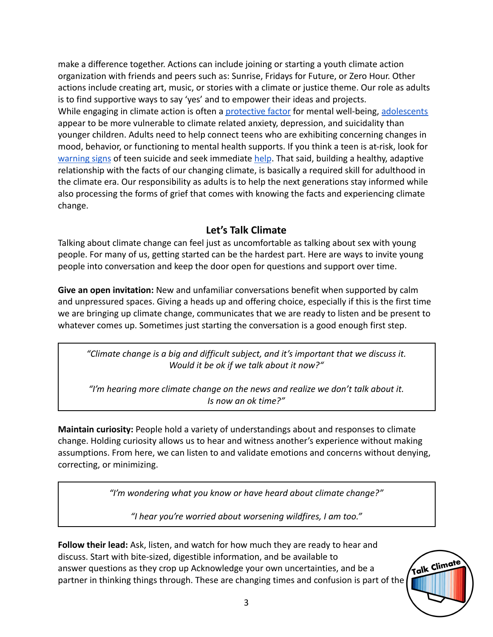make a difference together. Actions can include joining or starting a youth climate action organization with friends and peers such as: Sunrise, Fridays for Future, or Zero Hour. Other actions include creating art, music, or stories with a climate or justice theme. Our role as adults is to find supportive ways to say 'yes' and to empower their ideas and projects. While engaging in climate action is often a [protective](https://www.independent.co.uk/climate-change/news/climate-change-school-strikes-mental-health-students-children-a9225081.html) factor for mental well-being, [adolescents](https://www.thelancet.com/journals/lanplh/article/PIIS2542-5196%2817%2930045-1/fulltext) appear to be more vulnerable to climate related anxiety, depression, and suicidality than younger children. Adults need to help connect teens who are exhibiting concerning changes in mood, behavior, or functioning to mental health supports. If you think a teen is at-risk, look for [warning signs](https://suicidepreventionlifeline.org/how-we-can-all-prevent-suicide/) of teen suicide and seek immediate [help](https://suicidepreventionlifeline.org/help-yourself/youth/). That said, building a healthy, adaptive relationship with the facts of our changing climate, is basically a required skill for adulthood in the climate era. Our responsibility as adults is to help the next generations stay informed while also processing the forms of grief that comes with knowing the facts and experiencing climate change.

## **Let's Talk Climate**

Talking about climate change can feel just as uncomfortable as talking about sex with young people. For many of us, getting started can be the hardest part. Here are ways to invite young people into conversation and keep the door open for questions and support over time.

**Give an open invitation:** New and unfamiliar conversations benefit when supported by calm and unpressured spaces. Giving a heads up and offering choice, especially if this is the first time we are bringing up climate change, communicates that we are ready to listen and be present to whatever comes up. Sometimes just starting the conversation is a good enough first step.

*"Climate change is a big and difficult subject, and it's important that we discuss it. Would it be ok if we talk about it now?"*

*"I'm hearing more climate change on the news and realize we don't talk about it. Is now an ok time?"*

**Maintain curiosity:** People hold a variety of understandings about and responses to climate change. Holding curiosity allows us to hear and witness another's experience without making assumptions. From here, we can listen to and validate emotions and concerns without denying, correcting, or minimizing.

*"I'm wondering what you know or have heard about climate change?"*

*"I hear you're worried about worsening wildfires, I am too."*

**Follow their lead:** Ask, listen, and watch for how much they are ready to hear and discuss. Start with bite-sized, digestible information, and be available to answer questions as they crop up Acknowledge your own uncertainties, and be a partner in thinking things through. These are changing times and confusion is part of the

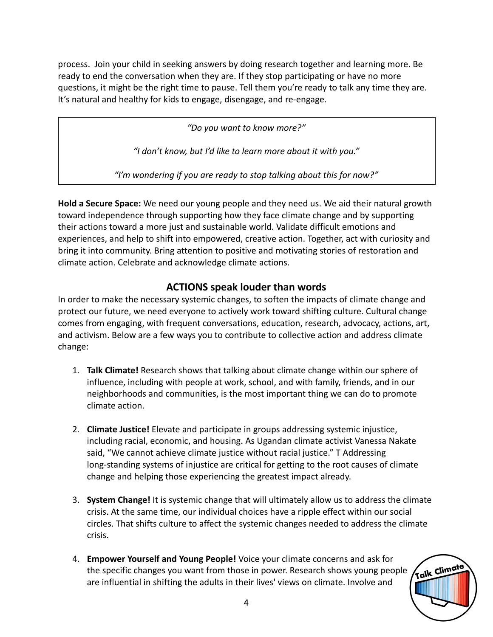process. Join your child in seeking answers by doing research together and learning more. Be ready to end the conversation when they are. If they stop participating or have no more questions, it might be the right time to pause. Tell them you're ready to talk any time they are. It's natural and healthy for kids to engage, disengage, and re-engage.

*"Do you want to know more?"*

*"I don't know, but I'd like to learn more about it with you."*

*"I'm wondering if you are ready to stop talking about this for now?"*

**Hold a Secure Space:** We need our young people and they need us. We aid their natural growth toward independence through supporting how they face climate change and by supporting their actions toward a more just and sustainable world. Validate difficult emotions and experiences, and help to shift into empowered, creative action. Together, act with curiosity and bring it into community. Bring attention to positive and motivating stories of restoration and climate action. Celebrate and acknowledge climate actions.

## **ACTIONS speak louder than words**

In order to make the necessary systemic changes, to soften the impacts of climate change and protect our future, we need everyone to actively work toward shifting culture. Cultural change comes from engaging, with frequent conversations, education, research, advocacy, actions, art, and activism. Below are a few ways you to contribute to collective action and address climate change:

- 1. **Talk Climate!** Research shows that talking about climate change within our sphere of influence, including with people at work, school, and with family, friends, and in our neighborhoods and communities, is the most important thing we can do to promote climate action.
- 2. **Climate Justice!** Elevate and participate in groups addressing systemic injustice, including racial, economic, and housing. As Ugandan climate activist Vanessa Nakate said, "We cannot achieve climate justice without racial justice." T Addressing long-standing systems of injustice are critical for getting to the root causes of climate change and helping those experiencing the greatest impact already.
- 3. **System Change!** It is systemic change that will ultimately allow us to address the climate crisis. At the same time, our individual choices have a ripple effect within our social circles. That shifts culture to affect the systemic changes needed to address the climate crisis.
- 4. **Empower Yourself and Young People!** Voice your climate concerns and ask for the specific changes you want from those in power. Research shows young people are influential in shifting the adults in their lives' views on climate. Involve and

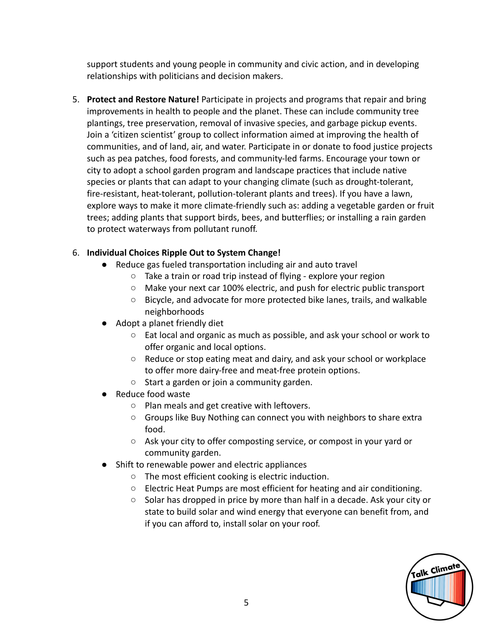support students and young people in community and civic action, and in developing relationships with politicians and decision makers.

5. **Protect and Restore Nature!** Participate in projects and programs that repair and bring improvements in health to people and the planet. These can include community tree plantings, tree preservation, removal of invasive species, and garbage pickup events. Join a 'citizen scientist' group to collect information aimed at improving the health of communities, and of land, air, and water. Participate in or donate to food justice projects such as pea patches, food forests, and community-led farms. Encourage your town or city to adopt a school garden program and landscape practices that include native species or plants that can adapt to your changing climate (such as drought-tolerant, fire-resistant, heat-tolerant, pollution-tolerant plants and trees). If you have a lawn, explore ways to make it more climate-friendly such as: adding a vegetable garden or fruit trees; adding plants that support birds, bees, and butterflies; or installing a rain garden to protect waterways from pollutant runoff.

#### 6. **Individual Choices Ripple Out to System Change!**

- Reduce gas fueled transportation including air and auto travel
	- Take a train or road trip instead of flying explore your region
	- Make your next car 100% electric, and push for electric public transport
	- Bicycle, and advocate for more protected bike lanes, trails, and walkable neighborhoods
- Adopt a planet friendly diet
	- Eat local and organic as much as possible, and ask your school or work to offer organic and local options.
	- Reduce or stop eating meat and dairy, and ask your school or workplace to offer more dairy-free and meat-free protein options.
	- Start a garden or join a community garden.
- Reduce food waste
	- Plan meals and get creative with leftovers.
	- Groups like Buy Nothing can connect you with neighbors to share extra food.
	- Ask your city to offer composting service, or compost in your yard or community garden.
- Shift to renewable power and electric appliances
	- The most efficient cooking is electric induction.
	- Electric Heat Pumps are most efficient for heating and air conditioning.
	- Solar has dropped in price by more than half in a decade. Ask your city or state to build solar and wind energy that everyone can benefit from, and if you can afford to, install solar on your roof.